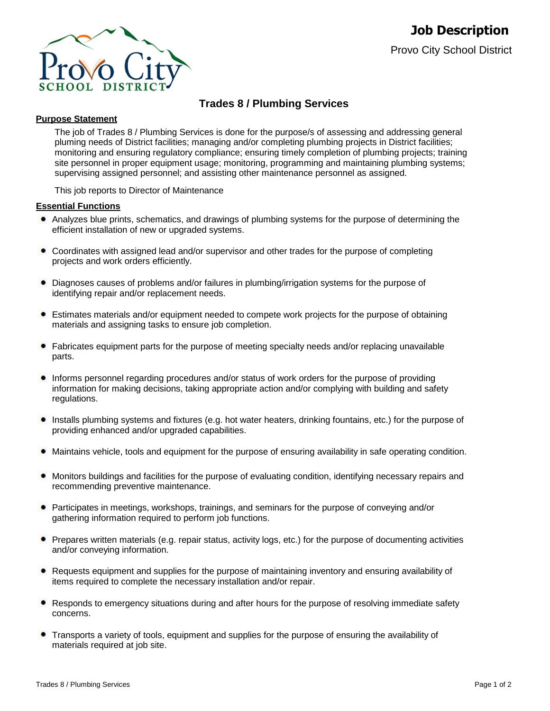

# **Trades 8 / Plumbing Services**

### **Purpose Statement**

The job of Trades 8 / Plumbing Services is done for the purpose/s of assessing and addressing general pluming needs of District facilities; managing and/or completing plumbing projects in District facilities; monitoring and ensuring regulatory compliance; ensuring timely completion of plumbing projects; training site personnel in proper equipment usage; monitoring, programming and maintaining plumbing systems; supervising assigned personnel; and assisting other maintenance personnel as assigned.

This job reports to Director of Maintenance

#### **Essential Functions**

- Analyzes blue prints, schematics, and drawings of plumbing systems for the purpose of determining the efficient installation of new or upgraded systems.
- Coordinates with assigned lead and/or supervisor and other trades for the purpose of completing projects and work orders efficiently.
- ٠ Diagnoses causes of problems and/or failures in plumbing/irrigation systems for the purpose of identifying repair and/or replacement needs.
- Estimates materials and/or equipment needed to compete work projects for the purpose of obtaining materials and assigning tasks to ensure job completion.
- $\bullet$ Fabricates equipment parts for the purpose of meeting specialty needs and/or replacing unavailable parts.
- Informs personnel regarding procedures and/or status of work orders for the purpose of providing information for making decisions, taking appropriate action and/or complying with building and safety regulations.
- Installs plumbing systems and fixtures (e.g. hot water heaters, drinking fountains, etc.) for the purpose of providing enhanced and/or upgraded capabilities.
- Maintains vehicle, tools and equipment for the purpose of ensuring availability in safe operating condition.
- $\bullet$ Monitors buildings and facilities for the purpose of evaluating condition, identifying necessary repairs and recommending preventive maintenance.
- **•** Participates in meetings, workshops, trainings, and seminars for the purpose of conveying and/or gathering information required to perform job functions.
- Prepares written materials (e.g. repair status, activity logs, etc.) for the purpose of documenting activities and/or conveying information.
- Requests equipment and supplies for the purpose of maintaining inventory and ensuring availability of items required to complete the necessary installation and/or repair.
- Responds to emergency situations during and after hours for the purpose of resolving immediate safety concerns.
- Transports a variety of tools, equipment and supplies for the purpose of ensuring the availability of materials required at job site.